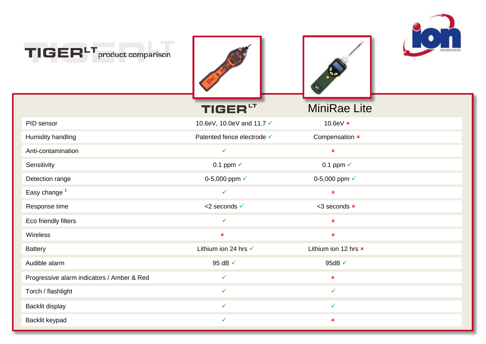

| TIGER <sup>LT</sup> product comparison     |                            |                      |  |
|--------------------------------------------|----------------------------|----------------------|--|
|                                            | TIGER <sup>LT</sup>        | <b>MiniRae Lite</b>  |  |
| PID sensor                                 | 10.6eV, 10.0eV and 11.7 √  | 10.6eV $\times$      |  |
| Humidity handling                          | Patented fence electrode √ | Compensation x       |  |
| Anti-contamination                         | $\checkmark$               | $\pmb{\times}$       |  |
| Sensitivity                                | 0.1 ppm $\checkmark$       | 0.1 ppm $\checkmark$ |  |
| Detection range                            | 0-5,000 ppm √              | 0-5,000 ppm √        |  |
| Easy change <sup>1</sup>                   | $\checkmark$               | $\pmb{\times}$       |  |
| Response time                              | <2 seconds √               | <3 seconds <b>x</b>  |  |
| Eco friendly filters                       | $\checkmark$               | $\pmb{\times}$       |  |
| Wireless                                   | ×                          | $\pmb{\times}$       |  |
| <b>Battery</b>                             | Lithium ion 24 hrs √       | Lithium ion 12 hrs x |  |
| Audible alarm                              | 95 dB √                    | 95dB √               |  |
| Progressive alarm indicators / Amber & Red | $\checkmark$               | $\pmb{\times}$       |  |
| Torch / flashlight                         | $\checkmark$               | $\checkmark$         |  |
| Backlit display                            | ✓                          | $\checkmark$         |  |
| Backlit keypad                             | ✓                          | ×                    |  |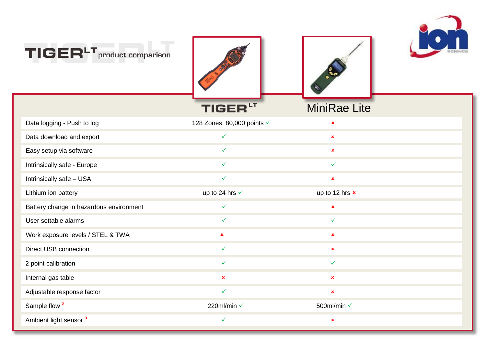

| $TIGERLT$ product comparison            |                            |                     |  |
|-----------------------------------------|----------------------------|---------------------|--|
|                                         | <b>TIGER</b>               | <b>MiniRae Lite</b> |  |
| Data logging - Push to log              | 128 Zones, 80,000 points √ | $\pmb{\times}$      |  |
| Data download and export                | $\checkmark$               | $\pmb{\times}$      |  |
| Easy setup via software                 | $\checkmark$               | $\pmb{\times}$      |  |
| Intrinsically safe - Europe             | $\checkmark$               | $\checkmark$        |  |
| Intrinsically safe - USA                | $\checkmark$               | $\pmb{\times}$      |  |
| Lithium ion battery                     | up to 24 hrs √             | up to 12 hrs x      |  |
| Battery change in hazardous environment | $\checkmark$               | $\pmb{\times}$      |  |
| User settable alarms                    | ✓                          | $\checkmark$        |  |
| Work exposure levels / STEL & TWA       | $\pmb{\times}$             | $\pmb{\times}$      |  |
| <b>Direct USB connection</b>            | $\checkmark$               | $\pmb{\times}$      |  |
| 2 point calibration                     | $\checkmark$               | $\checkmark$        |  |
| Internal gas table                      | $\pmb{\times}$             | $\pmb{\times}$      |  |
| Adjustable response factor              | $\checkmark$               | $\pmb{\times}$      |  |
| Sample flow <sup>2</sup>                | 220ml/min √                | 500ml/min √         |  |
| Ambient light sensor <sup>3</sup>       | $\checkmark$               | $\pmb{\times}$      |  |